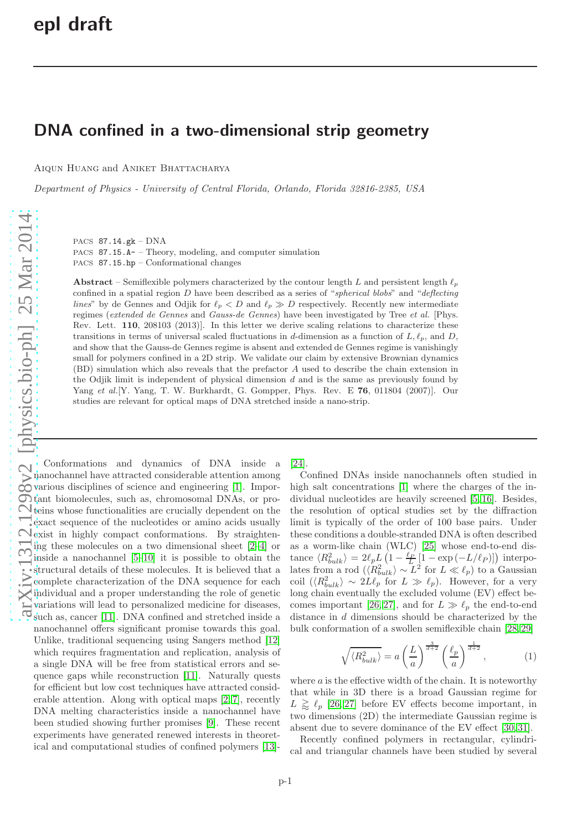## DNA confined in a two-dimensional strip geometry

AIQUN HUANG and ANIKET BHATTACHARYA

*Department of Physics - University of Central Florida, Orlando, Florida 32816-2385, USA*

PACS 87.14.gk – DNA PACS 87.15.A- – Theory, modeling, and computer simulation PACS 87.15.hp – Conformational changes

Abstract – Semiflexible polymers characterized by the contour length L and persistent length  $\ell_p$ confined in a spatial region  $D$  have been described as a series of "spherical blobs" and "deflecting lines" by de Gennes and Odjik for  $\ell_p < D$  and  $\ell_p \gg D$  respectively. Recently new intermediate regimes (extended de Gennes and Gauss-de Gennes) have been investigated by Tree et al. [Phys. Rev. Lett. 110, 208103 (2013)]. In this letter we derive scaling relations to characterize these transitions in terms of universal scaled fluctuations in d-dimension as a function of  $L, \ell_p$ , and D, and show that the Gauss-de Gennes regime is absent and extended de Gennes regime is vanishingly small for polymers confined in a 2D strip. We validate our claim by extensive Brownian dynamics (BD) simulation which also reveals that the prefactor A used to describe the chain extension in the Odjik limit is independent of physical dimension  $d$  and is the same as previously found by Yang et al. [Y. Yang, T. W. Burkhardt, G. Gompper, Phys. Rev. E 76, 011804 (2007)]. Our studies are relevant for optical maps of DNA stretched inside a nano-strip.

Conformations and dynamics of DNA inside a nanochannel have attracted considerable attention among various disciplines of science and engineering [\[1\]](#page-4-0). Important biomolecules, such as, chromosomal DNAs, or proteins whose functionalities are crucially dependent on the exact sequence of the nucleotides or amino acids usually  $\bigcirc$  exist in highly compact conformations. By straightening these molecules on a two dimensional sheet [\[2](#page-4-1)[–4\]](#page-4-2) or inside a nanochannel [\[5](#page-4-3)[–10\]](#page-4-4) it is possible to obtain the  $\overline{\cdot}$  is a mandelland of these molecules. It is believed that a complete characterization of the DNA sequence for each individual and a proper understanding the role of genetic variations will lead to personalized medicine for diseases,  $\overline{\mathcal{O}}$  such as, cancer [\[11\]](#page-4-5). DNA confined and stretched inside a nanochannel offers significant promise towards this goal. Unlike, traditional sequencing using Sangers method [\[12\]](#page-4-6) which requires fragmentation and replication, analysis of a single DNA will be free from statistical errors and sequence gaps while reconstruction [\[11\]](#page-4-5). Naturally quests for efficient but low cost techniques have attracted considerable attention. Along with optical maps [\[2,](#page-4-1) [7\]](#page-4-7), recently DNA melting characteristics inside a nanochannel have been studied showing further promises [\[9\]](#page-4-8). These recent experiments have generated renewed interests in theoretical and computational studies of confined polymers [\[13\]](#page-4-9)-

[\[24\]](#page-4-10).

Confined DNAs inside nanochannels often studied in high salt concentrations [\[1\]](#page-4-0) where the charges of the individual nucleotides are heavily screened [\[5,](#page-4-3) [16\]](#page-4-11). Besides, the resolution of optical studies set by the diffraction limit is typically of the order of 100 base pairs. Under these conditions a double-stranded DNA is often described as a worm-like chain (WLC) [\[25\]](#page-4-12) whose end-to-end distance  $\langle R_{bulk}^2 \rangle = 2\ell_p L \left(1 - \frac{\ell_P}{L} \left[1 - \exp\left(-L/\ell_P\right)\right]\right)$  interpolates from a rod  $\langle \langle R_{bulk}^2 \rangle \sim L^2$  for  $L \ll l_p$ ) to a Gaussian coil  $\langle R_{bulk}^2 \rangle \sim 2L\ell_p$  for  $L \gg \ell_p$ ). However, for a very long chain eventually the excluded volume (EV) effect be-comes important [\[26,](#page-4-13) [27\]](#page-4-14), and for  $L \gg \ell_p$  the end-to-end distance in d dimensions should be characterized by the bulk conformation of a swollen semiflexible chain [\[28,](#page-4-15) [29\]](#page-4-16)

<span id="page-0-0"></span>
$$
\sqrt{\langle R_{bulk}^2 \rangle} = a \left(\frac{L}{a}\right)^{\frac{3}{d+2}} \left(\frac{\ell_p}{a}\right)^{\frac{1}{d+2}},\tag{1}
$$

where  $a$  is the effective width of the chain. It is noteworthy that while in 3D there is a broad Gaussian regime for  $L \gtrsim \ell_p$  [\[26,](#page-4-13) [27\]](#page-4-14) before EV effects become important, in two dimensions (2D) the intermediate Gaussian regime is absent due to severe dominance of the EV effect [\[30,](#page-4-17) [31\]](#page-4-18).

Recently confined polymers in rectangular, cylindrical and triangular channels have been studied by several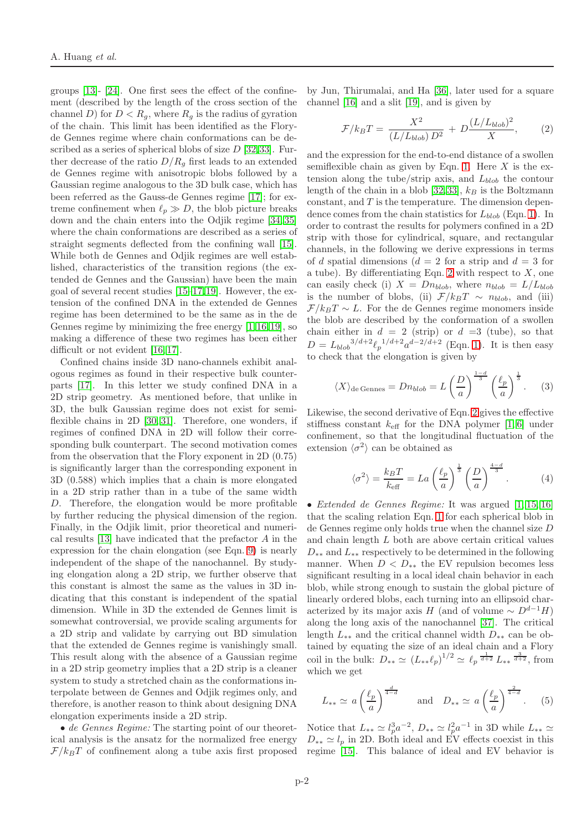groups [\[13\]](#page-4-9)- [\[24\]](#page-4-10). One first sees the effect of the confinement (described by the length of the cross section of the channel D) for  $D < R_q$ , where  $R_q$  is the radius of gyration of the chain. This limit has been identified as the Floryde Gennes regime where chain conformations can be described as a series of spherical blobs of size  $D$  [\[32,](#page-4-19)[33\]](#page-4-20). Further decrease of the ratio  $D/R<sub>q</sub>$  first leads to an extended de Gennes regime with anisotropic blobs followed by a Gaussian regime analogous to the 3D bulk case, which has been referred as the Gauss-de Gennes regime [\[17\]](#page-4-21); for extreme confinement when  $\ell_p \gg D$ , the blob picture breaks down and the chain enters into the Odjik regime [\[34,](#page-4-22) [35\]](#page-4-23) where the chain conformations are described as a series of straight segments deflected from the confining wall [\[15\]](#page-4-24). While both de Gennes and Odjik regimes are well established, characteristics of the transition regions (the extended de Gennes and the Gaussian) have been the main goal of several recent studies [\[15](#page-4-24)[–17,](#page-4-21)[19\]](#page-4-25). However, the extension of the confined DNA in the extended de Gennes regime has been determined to be the same as in the de Gennes regime by minimizing the free energy [\[1,](#page-4-0)[16,](#page-4-11)[19\]](#page-4-25), so making a difference of these two regimes has been either difficult or not evident [\[16,](#page-4-11) [17\]](#page-4-21).

Confined chains inside 3D nano-channels exhibit analogous regimes as found in their respective bulk counterparts [\[17\]](#page-4-21). In this letter we study confined DNA in a 2D strip geometry. As mentioned before, that unlike in 3D, the bulk Gaussian regime does not exist for semiflexible chains in 2D [\[30,](#page-4-17) [31\]](#page-4-18). Therefore, one wonders, if regimes of confined DNA in 2D will follow their corresponding bulk counterpart. The second motivation comes from the observation that the Flory exponent in 2D (0.75) is significantly larger than the corresponding exponent in 3D (0.588) which implies that a chain is more elongated in a 2D strip rather than in a tube of the same width D. Therefore, the elongation would be more profitable by further reducing the physical dimension of the region. Finally, in the Odjik limit, prior theoretical and numerical results [\[13\]](#page-4-9) have indicated that the prefactor A in the expression for the chain elongation (see Eqn. [9\)](#page-2-0) is nearly independent of the shape of the nanochannel. By studying elongation along a 2D strip, we further observe that this constant is almost the same as the values in 3D indicating that this constant is independent of the spatial dimension. While in 3D the extended de Gennes limit is somewhat controversial, we provide scaling arguments for a 2D strip and validate by carrying out BD simulation that the extended de Gennes regime is vanishingly small. This result along with the absence of a Gaussian regime in a 2D strip geometry implies that a 2D strip is a cleaner system to study a stretched chain as the conformations interpolate between de Gennes and Odjik regimes only, and therefore, is another reason to think about designing DNA elongation experiments inside a 2D strip.

• *de Gennes Regime:* The starting point of our theoretical analysis is the ansatz for the normalized free energy  $\mathcal{F}/k_BT$  of confinement along a tube axis first proposed

by Jun, Thirumalai, and Ha [\[36\]](#page-4-26), later used for a square channel [\[16\]](#page-4-11) and a slit [\[19\]](#page-4-25), and is given by

<span id="page-1-0"></span>
$$
\mathcal{F}/k_B T = \frac{X^2}{(L/L_{blob}) D^2} + D \frac{(L/L_{blob})^2}{X}, \qquad (2)
$$

and the expression for the end-to-end distance of a swollen semiflexible chain as given by Eqn. [1.](#page-0-0) Here  $X$  is the extension along the tube/strip axis, and  $L_{blob}$  the contour length of the chain in a blob [\[32,](#page-4-19) [33\]](#page-4-20),  $k_B$  is the Boltzmann  $constant$ , and  $T$  is the temperature. The dimension dependence comes from the chain statistics for  $L_{blob}$  (Eqn. [1\)](#page-0-0). In order to contrast the results for polymers confined in a 2D strip with those for cylindrical, square, and rectangular channels, in the following we derive expressions in terms of d spatial dimensions  $(d = 2$  for a strip and  $d = 3$  for a tube). By differentiating Eqn. [2](#page-1-0) with respect to  $X$ , one can easily check (i)  $X = Dn_{blob}$ , where  $n_{blob} = L/L_{blob}$ is the number of blobs, (ii)  $\mathcal{F}/k_BT \sim n_{blob}$ , and (iii)  $\mathcal{F}/k_BT \sim L$ . For the de Gennes regime monomers inside the blob are described by the conformation of a swollen chain either in  $d = 2$  (strip) or  $d = 3$  (tube), so that  $D = L_{blob}^{3/d+2} \ell_p^{-1/d+2} a^{d-2/d+2}$  (Eqn. [1\)](#page-0-0). It is then easy to check that the elongation is given by

<span id="page-1-1"></span>
$$
\langle X \rangle_{\text{de Gennes}} = Dn_{blob} = L\left(\frac{D}{a}\right)^{\frac{1-d}{3}} \left(\frac{\ell_p}{a}\right)^{\frac{1}{3}}.
$$
 (3)

Likewise, the second derivative of Eqn. [2](#page-1-0) gives the effective stiffness constant  $k_{\text{eff}}$  for the DNA polymer [\[1,](#page-4-0) [6\]](#page-4-27) under confinement, so that the longitudinal fluctuation of the extension  $\langle \sigma^2 \rangle$  can be obtained as

<span id="page-1-2"></span>
$$
\langle \sigma^2 \rangle = \frac{k_B T}{k_{\text{eff}}} = La \left(\frac{\ell_p}{a}\right)^{\frac{1}{3}} \left(\frac{D}{a}\right)^{\frac{4-d}{3}}.
$$
 (4)

• *Extended de Gennes Regime:* It was argued [\[1,](#page-4-0) [15,](#page-4-24) [16\]](#page-4-11) that the scaling relation Eqn. [1](#page-0-0) for each spherical blob in de Gennes regime only holds true when the channel size D and chain length L both are above certain critical values  $D_{**}$  and  $L_{**}$  respectively to be determined in the following manner. When  $D < D_{**}$  the EV repulsion becomes less significant resulting in a local ideal chain behavior in each blob, while strong enough to sustain the global picture of linearly ordered blobs, each turning into an ellipsoid characterized by its major axis H (and of volume  $\sim D^{d-1}H$ ) along the long axis of the nanochannel [\[37\]](#page-5-0). The critical length  $L_{**}$  and the critical channel width  $D_{**}$  can be obtained by equating the size of an ideal chain and a Flory coil in the bulk:  $D_{**} \simeq (L_{**}\ell_p)^{1/2} \simeq \ell_p \frac{1}{d+2} L_{**} \frac{3}{d+2}$ , from which we get

<span id="page-1-3"></span>
$$
L_{**} \simeq a \left(\frac{\ell_p}{a}\right)^{\frac{d}{4-d}} \quad \text{and} \quad D_{**} \simeq a \left(\frac{\ell_p}{a}\right)^{\frac{2}{4-d}}. \tag{5}
$$

Notice that  $L_{**} \simeq l_p^3 a^{-2}$ ,  $D_{**} \simeq l_p^2 a^{-1}$  in 3D while  $L_{**} \simeq$  $D_{**} \simeq l_p$  in 2D. Both ideal and EV effects coexist in this regime [\[15\]](#page-4-24). This balance of ideal and EV behavior is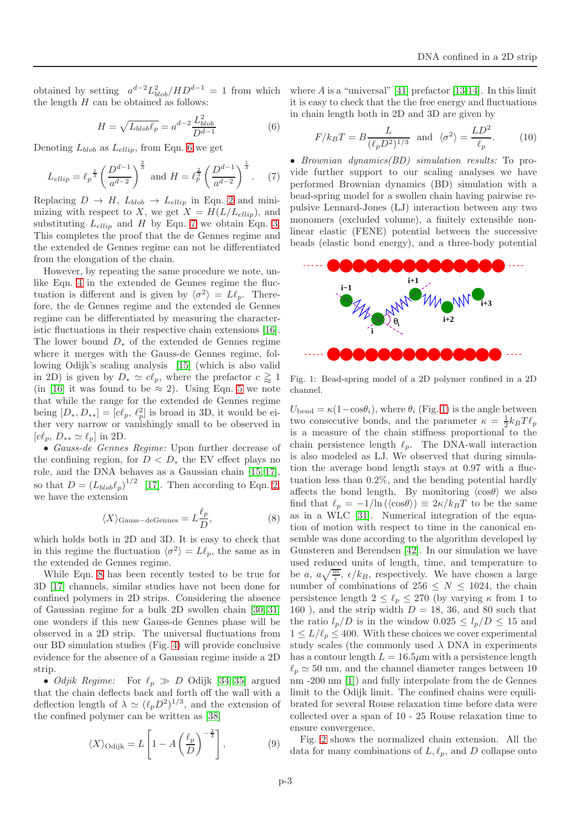obtained by setting  $a^{d-2}L_{blob}^2/HD^{d-1} = 1$  from which the length  $H$  can be obtained as follows:

<span id="page-2-1"></span>
$$
H = \sqrt{L_{blob}\ell_p} = a^{d-2} \frac{L_{blob}^2}{D^{d-1}}
$$
 (6)

Denoting  $L_{blob}$  as  $L_{ellip}$ , from Eqn. [6](#page-2-1) we get

<span id="page-2-2"></span>
$$
L_{ellip} = \ell_p^{\frac{1}{3}} \left( \frac{D^{d-1}}{a^{d-2}} \right)^{\frac{2}{3}} \text{ and } H = \ell_p^{\frac{2}{3}} \left( \frac{D^{d-1}}{a^{d-2}} \right)^{\frac{1}{3}}. \tag{7}
$$

Replacing  $D \to H$ ,  $L_{blob} \to L_{ellip}$  in Eqn. [2](#page-1-0) and minimizing with respect to X, we get  $X = H(L/L_{ellip})$ , and substituting  $L_{ellip}$  and H by Eqn. [7](#page-2-2) we obtain Eqn. [3.](#page-1-1) This completes the proof that the de Gennes regime and the extended de Gennes regime can not be differentiated from the elongation of the chain.

However, by repeating the same procedure we note, unlike Eqn. [4](#page-1-2) in the extended de Gennes regime the fluctuation is different and is given by  $\langle \sigma^2 \rangle = L\ell_p$ . Therefore, the de Gennes regime and the extended de Gennes regime can be differentiated by measuring the characteristic fluctuations in their respective chain extensions [\[16\]](#page-4-11). The lower bound  $D_*$  of the extended de Gennes regime where it merges with the Gauss-de Gennes regime, following Odijk's scaling analysis [\[15\]](#page-4-24) (which is also valid in 2D) is given by  $D_* \simeq c\ell_p$ , where the prefactor  $c \gtrapprox 1$ (in [\[16\]](#page-4-11) it was found to be  $\approx$  2). Using Eqn. [5](#page-1-3) we note that while the range for the extended de Gennes regime being  $[D_*, D_{**}] = [c\ell_p, \ell_p^2]$  is broad in 3D, it would be either very narrow or vanishingly small to be observed in  $[c\ell_p, D_{**} \simeq \ell_p]$  in 2D.

• *Gauss-de Gennes Regime:* Upon further decrease of the confining region, for  $D < D_*$  the EV effect plays no role, and the DNA behaves as a Gaussian chain [\[15,](#page-4-24) [17\]](#page-4-21), so that  $D = (L_{blob} \ell_p)^{1/2}$  [\[17\]](#page-4-21). Then according to Eqn. [2,](#page-1-0) we have the extension

<span id="page-2-3"></span>
$$
\langle X \rangle_{\text{Gauss-deGennes}} = L \frac{\ell_p}{D},\tag{8}
$$

which holds both in 2D and 3D. It is easy to check that in this regime the fluctuation  $\langle \sigma^2 \rangle = L\ell_p$ , the same as in the extended de Gennes regime.

While Eqn. [8](#page-2-3) has been recently tested to be true for 3D [\[17\]](#page-4-21) channels, similar studies have not been done for confined polymers in 2D strips. Considering the absence of Gaussian regime for a bulk 2D swollen chain [\[30,](#page-4-17) [31\]](#page-4-18) one wonders if this new Gauss-de Gennes phase will be observed in a 2D strip. The universal fluctuations from our BD simulation studies (Fig. [4\)](#page-3-0) will provide conclusive evidence for the absence of a Gaussian regime inside a 2D strip.

• *Odjik Regime:* For  $\ell_p \gg D$  Odijk [\[34,](#page-4-22) [35\]](#page-4-23) argued that the chain deflects back and forth off the wall with a deflection length of  $\lambda \simeq (\ell_p D^2)^{1/3}$ , and the extension of the confined polymer can be written as [\[38\]](#page-5-1)

<span id="page-2-0"></span>
$$
\langle X \rangle_{\text{Odijk}} = L \left[ 1 - A \left( \frac{\ell_p}{D} \right)^{-\frac{2}{3}} \right],\tag{9}
$$

where  $A$  is a "universal" [\[41\]](#page-5-2) prefactor [\[13,](#page-4-9)[14\]](#page-4-28). In this limit it is easy to check that the the free energy and fluctuations in chain length both in 2D and 3D are given by

<span id="page-2-5"></span>
$$
F/k_B T = B \frac{L}{(\ell_p D^2)^{1/3}} \text{ and } \langle \sigma^2 \rangle = \frac{LD^2}{\ell_p}.
$$
 (10)

• *Brownian dynamics(BD) simulation results:* To provide further support to our scaling analyses we have performed Brownian dynamics (BD) simulation with a bead-spring model for a swollen chain having pairwise repulsive Lennard-Jones (LJ) interaction between any two monomers (excluded volume), a finitely extensible nonlinear elastic (FENE) potential between the successive beads (elastic bond energy), and a three-body potential



<span id="page-2-4"></span>Fig. 1: Bead-spring model of a 2D polymer confined in a 2D channel.

 $U_{\text{bend}} = \kappa (1-\cos\theta_i)$ , where  $\theta_i$  (Fig. [1\)](#page-2-4) is the angle between two consecutive bonds, and the parameter  $\kappa = \frac{1}{2} k_B T \ell_p$ is a measure of the chain stiffness proportional to the chain persistence length  $\ell_p$ . The DNA-wall interaction is also modeled as LJ. We observed that during simulation the average bond length stays at 0.97 with a fluctuation less than 0.2%, and the bending potential hardly affects the bond length. By monitoring  $\langle \cos \theta \rangle$  we also find that  $\ell_p = -1/\ln(\langle \cos \theta \rangle) \equiv 2\kappa/k_BT$  to be the same as in a WLC [\[31\]](#page-4-18). Numerical integration of the equation of motion with respect to time in the canonical ensemble was done according to the algorithm developed by Gunsteren and Berendsen [\[42\]](#page-5-3). In our simulation we have used reduced units of length, time, and temperature to be a,  $a\sqrt{\frac{m}{\epsilon}}$ ,  $\epsilon/k_B$ , respectively. We have chosen a large number of combinations of  $256 \leq N \leq 1024$ , the chain persistence length  $2 \leq \ell_p \leq 270$  (by varying  $\kappa$  from 1 to 160), and the strip width  $D = 18, 36,$  and 80 such that the ratio  $l_p/D$  is in the window  $0.025 \leq l_p/D \leq 15$  and  $1 \leq L/\ell_n \leq 400$ . With these choices we cover experimental study scales (the commonly used  $\lambda$  DNA in experiments has a contour length  $L = 16.5 \mu m$  with a persistence length  $\ell_p \simeq 50$  nm, and the channel diameter ranges between 10 nm  $-200$  nm  $[1]$  and fully interpolate from the de Gennes limit to the Odijk limit. The confined chains were equilibrated for several Rouse relaxation time before data were collected over a span of 10 - 25 Rouse relaxation time to ensure convergence.

Fig. [2](#page-3-1) shows the normalized chain extension. All the data for many combinations of  $L, \ell_p$ , and D collapse onto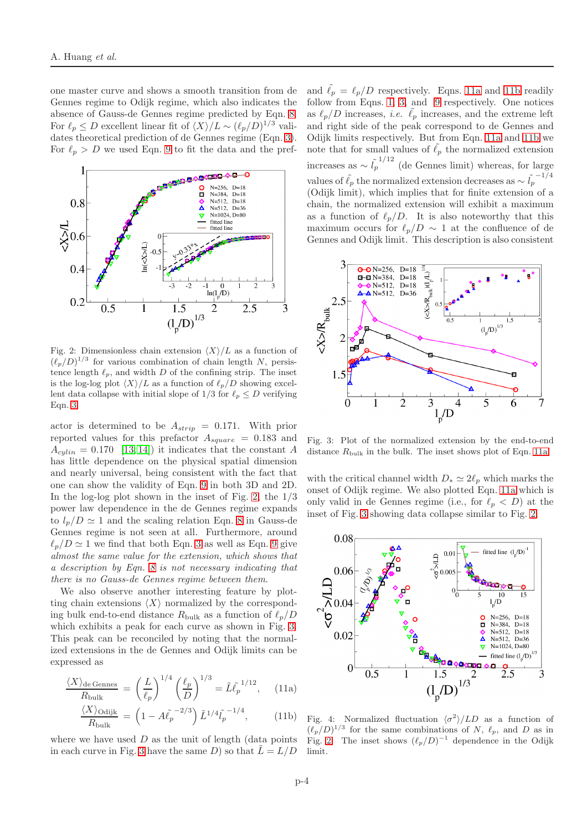one master curve and shows a smooth transition from de Gennes regime to Odijk regime, which also indicates the absence of Gauss-de Gennes regime predicted by Eqn. [8.](#page-2-3) For  $\ell_p \leq D$  excellent linear fit of  $\langle X \rangle/L \sim (\ell_p/D)^{1/3}$  validates theoretical prediction of de Gennes regime (Eqn. [3\)](#page-1-1). For  $\ell_p > D$  we used Eqn. [9](#page-2-0) to fit the data and the pref-



<span id="page-3-1"></span>Fig. 2: Dimensionless chain extension  $\langle X \rangle/L$  as a function of  $(\ell_p/D)^{1/3}$  for various combination of chain length N, persistence length  $\ell_p$ , and width D of the confining strip. The inset is the log-log plot  $\langle X \rangle/L$  as a function of  $\ell_p/D$  showing excellent data collapse with initial slope of  $1/3$  for  $\ell_p \leq D$  verifying Eqn. [3.](#page-1-1)

actor is determined to be  $A_{strip} = 0.171$ . With prior reported values for this prefactor  $A_{square} = 0.183$  and  $A_{\text{culin}} = 0.170$  [\[13,](#page-4-9) [14\]](#page-4-28)) it indicates that the constant A has little dependence on the physical spatial dimension and nearly universal, being consistent with the fact that one can show the validity of Eqn. [9](#page-2-0) in both 3D and 2D. In the log-log plot shown in the inset of Fig. [2,](#page-3-1) the  $1/3$ power law dependence in the de Gennes regime expands to  $l_p/D \simeq 1$  and the scaling relation Eqn. [8](#page-2-3) in Gauss-de Gennes regime is not seen at all. Furthermore, around  $\ell_p/D \simeq 1$  we find that both Eqn. [3](#page-1-1) as well as Eqn. [9](#page-2-0) give *almost the same value for the extension, which shows that a description by Eqn. [8](#page-2-3) is not necessary indicating that there is no Gauss-de Gennes regime between them*.

We also observe another interesting feature by plotting chain extensions  $\langle X \rangle$  normalized by the corresponding bulk end-to-end distance  $R_{\text{bulk}}$  as a function of  $\ell_p/D$ which exhibits a peak for each curve as shown in Fig. [3.](#page-3-2) This peak can be reconciled by noting that the normalized extensions in the de Gennes and Odijk limits can be expressed as

$$
\frac{\langle X \rangle_{\text{de Gennes}}}{R_{\text{bulk}}} = \left(\frac{L}{\ell_p}\right)^{1/4} \left(\frac{\ell_p}{D}\right)^{1/3} = \tilde{L}\tilde{\ell}_p^{-1/12},\quad(11a)
$$

$$
\frac{\langle X \rangle_{\text{Odijk}}}{R_{\text{bulk}}} = \left(1 - A\tilde{\ell}_p^{-2/3}\right) \tilde{L}^{1/4} \tilde{\ell}_p^{-1/4},\tag{11b}
$$

where we have used  $D$  as the unit of length (data points in each curve in Fig. [3](#page-3-2) have the same D) so that  $\tilde{L} = L/D$ 

and  $\tilde{\ell}_p = \ell_p/D$  respectively. Eqns. [11a](#page-3-3) and [11b](#page-3-4) readily follow from Eqns. [1,](#page-0-0) [3,](#page-1-1) and [9](#page-2-0) respectively. One notices as  $\ell_p/D$  increases, *i.e.*  $\tilde{\ell}_p$  increases, and the extreme left and right side of the peak correspond to de Gennes and Odijk limits respectively. But from Eqn. [11a](#page-3-3) and [11b](#page-3-4) we note that for small values of  $\ell_p$  the normalized extension increases as  $\sim \tilde{l}_p^{-1/12}$  (de Gennes limit) whereas, for large values of  $\tilde{\ell}_p$  the normalized extension decreases as  $\sim \tilde{l}_p^{-1/4}$ (Odijk limit), which implies that for finite extension of a chain, the normalized extension will exhibit a maximum as a function of  $\ell_p/D$ . It is also noteworthy that this maximum occurs for  $\ell_p/D \sim 1$  at the confluence of de Gennes and Odijk limit. This description is also consistent



<span id="page-3-2"></span>Fig. 3: Plot of the normalized extension by the end-to-end distance  $R_{\text{bulk}}$  in the bulk. The inset shows plot of Eqn. [11a.](#page-3-3)

with the critical channel width  $D_* \simeq 2\ell_p$  which marks the onset of Odijk regime. We also plotted Eqn. [11a](#page-3-3) which is only valid in de Gennes regime (i.e., for  $\ell_p < D$ ) at the inset of Fig. [3](#page-3-2) showing data collapse similar to Fig. [2.](#page-3-1)



<span id="page-3-4"></span><span id="page-3-3"></span><span id="page-3-0"></span>Fig. 4: Normalized fluctuation  $\langle \sigma^2 \rangle /LD$  as a function of  $(\ell_p/D)^{1/3}$  for the same combinations of N,  $\ell_p$ , and D as in Fig. [2.](#page-3-1) The inset shows  $(\ell_p/D)^{-1}$  dependence in the Odijk limit.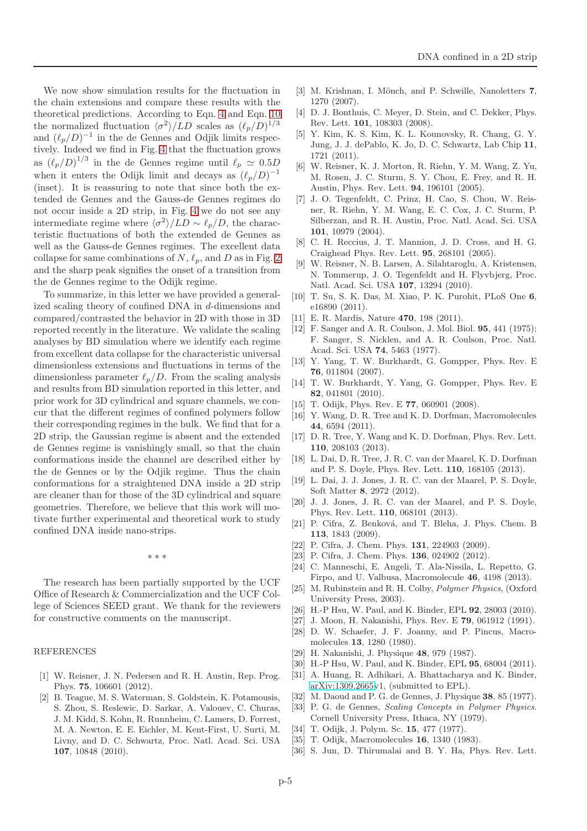We now show simulation results for the fluctuation in the chain extensions and compare these results with the theoretical predictions. According to Eqn. [4](#page-1-2) and Eqn. [10](#page-2-5) the normalized fluctuation  $\langle \sigma^2 \rangle /LD$  scales as  $(\ell_p/D)^{1/3}$ and  $(\ell_p/D)^{-1}$  in the de Gennes and Odjik limits respectively. Indeed we find in Fig. [4](#page-3-0) that the fluctuation grows as  $(\ell_p/D)^{1/3}$  in the de Gennes regime until  $\ell_p \simeq 0.5D$ when it enters the Odijk limit and decays as  $(\ell_p/D)^{-1}$ (inset). It is reassuring to note that since both the extended de Gennes and the Gauss-de Gennes regimes do not occur inside a 2D strip, in Fig. [4](#page-3-0) we do not see any intermediate regime where  $\langle \sigma^2 \rangle /LD \sim \ell_p/D$ , the characteristic fluctuations of both the extended de Gennes as well as the Gauss-de Gennes regimes. The excellent data collapse for same combinations of  $N$ ,  $\ell_p$ , and  $D$  as in Fig. [2](#page-3-1) and the sharp peak signifies the onset of a transition from the de Gennes regime to the Odijk regime.

To summarize, in this letter we have provided a generalized scaling theory of confined DNA in d-dimensions and compared/contrasted the behavior in 2D with those in 3D reported recently in the literature. We validate the scaling analyses by BD simulation where we identify each regime from excellent data collapse for the characteristic universal dimensionless extensions and fluctuations in terms of the dimensionless parameter  $\ell_p/D$ . From the scaling analysis and results from BD simulation reported in this letter, and prior work for 3D cylindrical and square channels, we concur that the different regimes of confined polymers follow their corresponding regimes in the bulk. We find that for a 2D strip, the Gaussian regime is absent and the extended de Gennes regime is vanishingly small, so that the chain conformations inside the channel are described either by the de Gennes or by the Odjik regime. Thus the chain conformations for a straightened DNA inside a 2D strip are cleaner than for those of the 3D cylindrical and square geometries. Therefore, we believe that this work will motivate further experimental and theoretical work to study confined DNA inside nano-strips.

∗ ∗ ∗

The research has been partially supported by the UCF Office of Research & Commercialization and the UCF College of Sciences SEED grant. We thank for the reviewers for constructive comments on the manuscript.

## REFERENCES

- <span id="page-4-0"></span>[1] W. Reisner, J. N. Pedersen and R. H. Austin, Rep. Prog. Phys. 75, 106601 (2012).
- <span id="page-4-1"></span>[2] B. Teague, M. S. Waterman, S. Goldstein, K. Potamousis, S. Zhou, S. Reslewic, D. Sarkar, A. Valouev, C. Churas, J. M. Kidd, S. Kohn, R. Runnheim, C. Lamers, D. Forrest, M. A. Newton, E. E. Eichler, M. Kent-First, U. Surti, M. Livny, and D. C. Schwartz, Proc. Natl. Acad. Sci. USA 107, 10848 (2010).
- <span id="page-4-2"></span>[3] M. Krishnan, I. Mönch, and P. Schwille, Nanoletters 7, 1270 (2007).
- <span id="page-4-3"></span>[4] D. J. Bonthuis, C. Meyer, D. Stein, and C. Dekker, Phys. Rev. Lett. 101, 108303 (2008).
- [5] Y. Kim, K. S. Kim, K. L. Kounovsky, R. Chang, G. Y. Jung, J. J. dePablo, K. Jo, D. C. Schwartz, Lab Chip 11, 1721 (2011).
- <span id="page-4-27"></span>[6] W. Reisner, K. J. Morton, R. Riehn, Y. M. Wang, Z. Yu, M. Rosen, J. C. Sturm, S. Y. Chou, E. Frey, and R. H. Austin, Phys. Rev. Lett. 94, 196101 (2005).
- <span id="page-4-7"></span>[7] J. O. Tegenfeldt, C. Prinz, H. Cao, S. Chou, W. Reisner, R. Riehn, Y. M. Wang, E. C. Cox, J. C. Sturm, P. Silberzan, and R. H. Austin, Proc. Natl. Acad. Sci. USA 101, 10979 (2004).
- [8] C. H. Reccius, J. T. Mannion, J. D. Cross, and H. G. Craighead Phys. Rev. Lett. 95, 268101 (2005).
- <span id="page-4-8"></span>[9] W. Reisner, N. B. Larsen, A. Silahtaroglu, A. Kristensen, N. Tommerup, J. O. Tegenfeldt and H. Flyvbjerg, Proc. Natl. Acad. Sci. USA 107, 13294 (2010).
- <span id="page-4-4"></span>[10] T. Su, S. K. Das, M. Xiao, P. K. Purohit, PLoS One 6, e16890 (2011).
- <span id="page-4-6"></span><span id="page-4-5"></span>[11] E. R. Mardis, Nature 470, 198 (2011).
- [12] F. Sanger and A. R. Coulson, J. Mol. Biol. **95**, 441 (1975); F. Sanger, S. Nicklen, and A. R. Coulson, Proc. Natl. Acad. Sci. USA 74, 5463 (1977).
- <span id="page-4-9"></span>[13] Y. Yang, T. W. Burkhardt, G. Gompper, Phys. Rev. E 76, 011804 (2007).
- <span id="page-4-28"></span>[14] T. W. Burkhardt, Y. Yang, G. Gompper, Phys. Rev. E 82, 041801 (2010).
- <span id="page-4-24"></span><span id="page-4-11"></span>[15] T. Odijk, Phys. Rev. E **77**, 060901 (2008).
- [16] Y. Wang, D. R. Tree and K. D. Dorfman, Macromolecules 44, 6594 (2011).
- <span id="page-4-21"></span>[17] D. R. Tree, Y. Wang and K. D. Dorfman, Phys. Rev. Lett. 110, 208103 (2013).
- [18] L. Dai, D. R. Tree, J. R. C. van der Maarel, K. D. Dorfman and P. S. Doyle, Phys. Rev. Lett. 110, 168105 (2013).
- <span id="page-4-25"></span>[19] L. Dai, J. J. Jones, J. R. C. van der Maarel, P. S. Doyle, Soft Matter 8, 2972 (2012).
- [20] J. J. Jones, J. R. C. van der Maarel, and P. S. Doyle, Phys. Rev. Lett. 110, 068101 (2013).
- [21] P. Cifra, Z. Benková, and T. Bleha, J. Phys. Chem. B 113, 1843 (2009).
- [22] P. Cifra, J. Chem. Phys. **131**, 224903 (2009).
- <span id="page-4-10"></span>[23] P. Cifra, J. Chem. Phys. **136**, 024902 (2012).
- [24] C. Manneschi, E. Angeli, T. Ala-Nissila, L. Repetto, G. Firpo, and U. Valbusa, Macromolecule 46, 4198 (2013).
- <span id="page-4-12"></span>[25] M. Rubinstein and R. H. Colby, Polymer Physics, (Oxford University Press, 2003).
- <span id="page-4-14"></span><span id="page-4-13"></span>[26] H.-P Hsu, W. Paul, and K. Binder, EPL 92, 28003 (2010).
- <span id="page-4-15"></span>[27] J. Moon, H. Nakanishi, Phys. Rev. E 79, 061912 (1991).
- [28] D. W. Schaefer, J. F. Joanny, and P. Pincus, Macromolecules 13, 1280 (1980).
- <span id="page-4-17"></span><span id="page-4-16"></span>[29] H. Nakanishi, J. Physique 48, 979 (1987).
- <span id="page-4-18"></span>[30] H.-P Hsu, W. Paul, and K. Binder, EPL 95, 68004 (2011).
- [31] A. Huang, R. Adhikari, A. Bhattacharya and K. Binder, [arXiv:1309.2665v](http://arxiv.org/abs/1309.2665)1, (submitted to EPL).
- <span id="page-4-20"></span><span id="page-4-19"></span>[32] M. Daoud and P. G. de Gennes, J. Physique 38, 85 (1977).
- [33] P. G. de Gennes, Scaling Concepts in Polymer Physics. Cornell University Press, Ithaca, NY (1979).
- <span id="page-4-23"></span><span id="page-4-22"></span>[34] T. Odijk, J. Polym. Sc. 15, 477 (1977).
- <span id="page-4-26"></span>[35] T. Odijk, Macromolecules 16, 1340 (1983).
- [36] S. Jun, D. Thirumalai and B. Y. Ha, Phys. Rev. Lett.